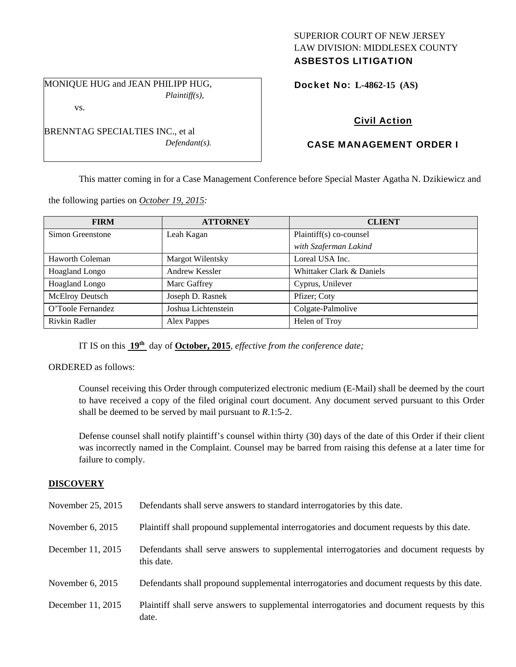## SUPERIOR COURT OF NEW JERSEY LAW DIVISION: MIDDLESEX COUNTY ASBESTOS LITIGATION

MONIQUE HUG and JEAN PHILIPP HUG, *Plaintiff(s),* 

*Defendant(s).* 

BRENNTAG SPECIALTIES INC., et al

vs.

Docket No: **L-4862-15 (AS)** 

# Civil Action

# CASE MANAGEMENT ORDER I

This matter coming in for a Case Management Conference before Special Master Agatha N. Dzikiewicz and

the following parties on *October 19, 2015:* 

| <b>FIRM</b>            | <b>ATTORNEY</b>     | <b>CLIENT</b>             |
|------------------------|---------------------|---------------------------|
| Simon Greenstone       | Leah Kagan          | Plaintiff(s) co-counsel   |
|                        |                     | with Szaferman Lakind     |
| Haworth Coleman        | Margot Wilentsky    | Loreal USA Inc.           |
| Hoagland Longo         | Andrew Kessler      | Whittaker Clark & Daniels |
| Hoagland Longo         | Marc Gaffrey        | Cyprus, Unilever          |
| <b>McElroy Deutsch</b> | Joseph D. Rasnek    | Pfizer; Coty              |
| O'Toole Fernandez      | Joshua Lichtenstein | Colgate-Palmolive         |
| Rivkin Radler          | Alex Pappes         | Helen of Troy             |

IT IS on this **19th** day of **October, 2015**, *effective from the conference date;*

ORDERED as follows:

Counsel receiving this Order through computerized electronic medium (E-Mail) shall be deemed by the court to have received a copy of the filed original court document. Any document served pursuant to this Order shall be deemed to be served by mail pursuant to *R*.1:5-2.

Defense counsel shall notify plaintiff's counsel within thirty (30) days of the date of this Order if their client was incorrectly named in the Complaint. Counsel may be barred from raising this defense at a later time for failure to comply.

## **DISCOVERY**

| November 25, 2015  | Defendants shall serve answers to standard interrogatories by this date.                              |
|--------------------|-------------------------------------------------------------------------------------------------------|
| November $6, 2015$ | Plaintiff shall propound supplemental interrogatories and document requests by this date.             |
| December 11, 2015  | Defendants shall serve answers to supplemental interrogatories and document requests by<br>this date. |
| November $6, 2015$ | Defendants shall propound supplemental interrogatories and document requests by this date.            |
| December 11, 2015  | Plaintiff shall serve answers to supplemental interrogatories and document requests by this<br>date.  |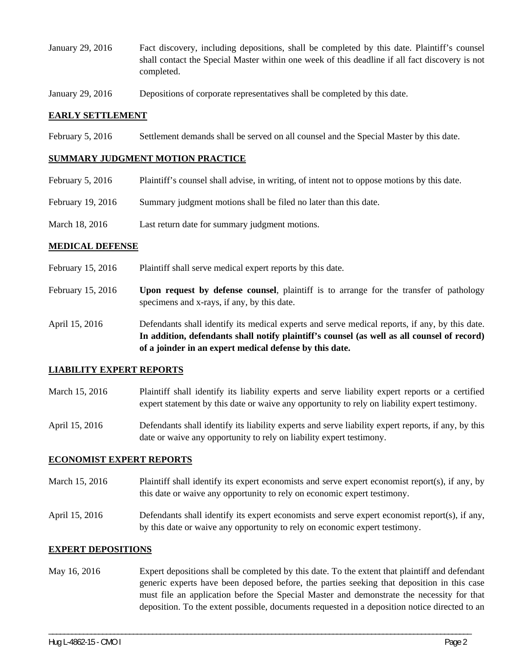- January 29, 2016 Fact discovery, including depositions, shall be completed by this date. Plaintiff's counsel shall contact the Special Master within one week of this deadline if all fact discovery is not completed.
- January 29, 2016 Depositions of corporate representatives shall be completed by this date.

### **EARLY SETTLEMENT**

February 5, 2016 Settlement demands shall be served on all counsel and the Special Master by this date.

#### **SUMMARY JUDGMENT MOTION PRACTICE**

- February 5, 2016 Plaintiff's counsel shall advise, in writing, of intent not to oppose motions by this date.
- February 19, 2016 Summary judgment motions shall be filed no later than this date.
- March 18, 2016 Last return date for summary judgment motions.

#### **MEDICAL DEFENSE**

- February 15, 2016 Plaintiff shall serve medical expert reports by this date.
- February 15, 2016 **Upon request by defense counsel**, plaintiff is to arrange for the transfer of pathology specimens and x-rays, if any, by this date.
- April 15, 2016 Defendants shall identify its medical experts and serve medical reports, if any, by this date. **In addition, defendants shall notify plaintiff's counsel (as well as all counsel of record) of a joinder in an expert medical defense by this date.**

#### **LIABILITY EXPERT REPORTS**

- March 15, 2016 Plaintiff shall identify its liability experts and serve liability expert reports or a certified expert statement by this date or waive any opportunity to rely on liability expert testimony.
- April 15, 2016 Defendants shall identify its liability experts and serve liability expert reports, if any, by this date or waive any opportunity to rely on liability expert testimony.

### **ECONOMIST EXPERT REPORTS**

- March 15, 2016 Plaintiff shall identify its expert economists and serve expert economist report(s), if any, by this date or waive any opportunity to rely on economic expert testimony.
- April 15, 2016 Defendants shall identify its expert economists and serve expert economist report(s), if any, by this date or waive any opportunity to rely on economic expert testimony.

### **EXPERT DEPOSITIONS**

May 16, 2016 Expert depositions shall be completed by this date. To the extent that plaintiff and defendant generic experts have been deposed before, the parties seeking that deposition in this case must file an application before the Special Master and demonstrate the necessity for that deposition. To the extent possible, documents requested in a deposition notice directed to an

\_\_\_\_\_\_\_\_\_\_\_\_\_\_\_\_\_\_\_\_\_\_\_\_\_\_\_\_\_\_\_\_\_\_\_\_\_\_\_\_\_\_\_\_\_\_\_\_\_\_\_\_\_\_\_\_\_\_\_\_\_\_\_\_\_\_\_\_\_\_\_\_\_\_\_\_\_\_\_\_\_\_\_\_\_\_\_\_\_\_\_\_\_\_\_\_\_\_\_\_\_\_\_\_\_\_\_\_\_\_